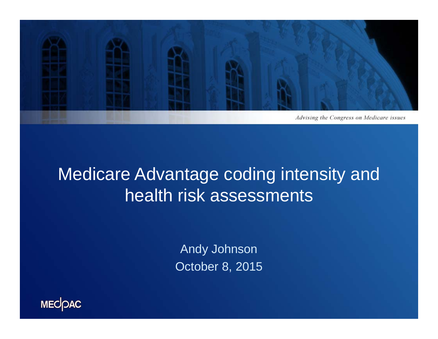

## Medicare Advantage coding intensity and health risk assessments

Andy Johnson October 8, 2015

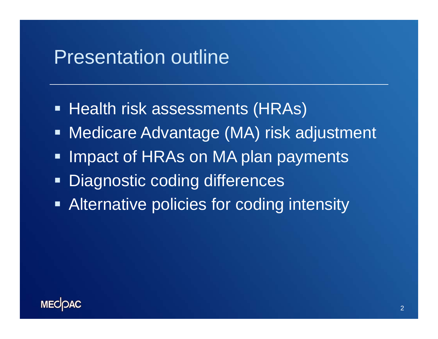## Presentation outline

- Health risk assessments (HRAs)
- Medicare Advantage (MA) risk adjustment
- **Impact of HRAs on MA plan payments**
- Diagnostic coding differences
- **Alternative policies for coding intensity**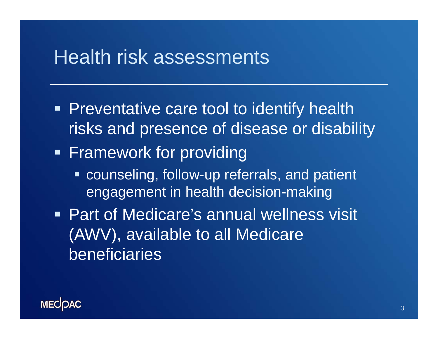### Health risk assessments

- **Preventative care tool to identify health** risks and presence of disease or disability
- **Framework for providing** 
	- **Example 20 ronalisary Counseling, follow-up referrals, and patient** engagement in health decision-making
- **Part of Medicare's annual wellness visit** (AWV), available to all Medicare beneficiaries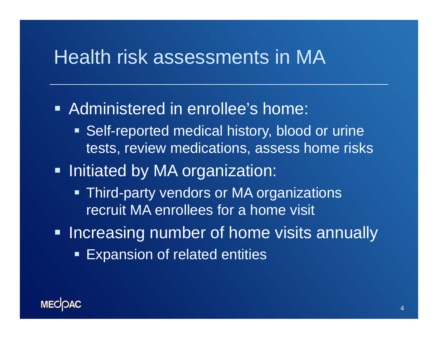## Health risk assessments in MA

**Administered in enrollee's home: Self-reported medical history, blood or urine** tests, review medications, assess home risks **- Initiated by MA organization: - Third-party vendors or MA organizations** recruit MA enrollees for a home visit **- Increasing number of home visits annually Expansion of related entities**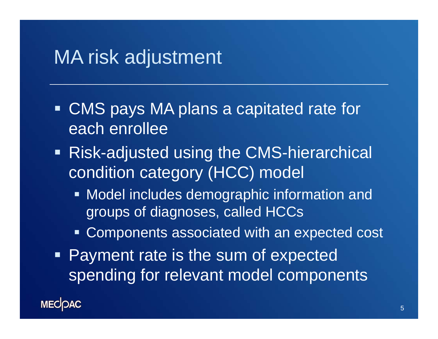## MA risk adjustment

- CMS pays MA plans a capitated rate for each enrollee
- Risk-adjusted using the CMS-hierarchical condition category (HCC) model
	- **Model includes demographic information and** groups of diagnoses, called HCCs
	- **EX Components associated with an expected cost**
- **Payment rate is the sum of expected** spending for relevant model components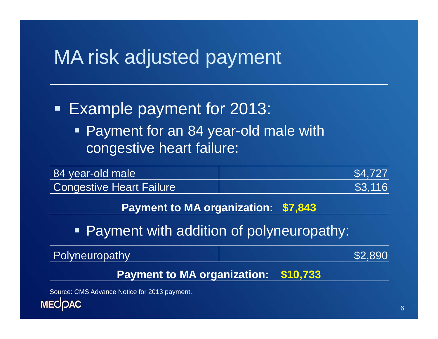## MA risk adjusted payment

#### Ξ Example payment for 2013:

■ Payment for an 84 year-old male with congestive heart failure:

| 84 year-old male         | \$4,727 |
|--------------------------|---------|
| Congestive Heart Failure | \$3,116 |
|                          |         |

**Payment to MA organization: \$7,843** 

#### $\blacksquare$ Payment with addition of polyneuropathy:



Source: CMS Advance Notice for 2013 payment.

**MECOAC**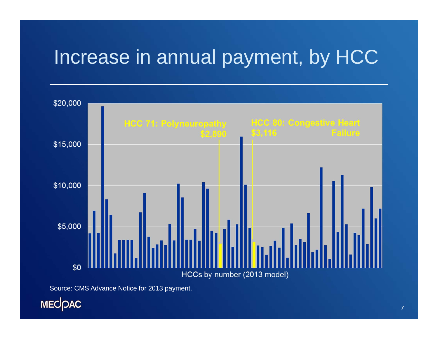# Increase in annual payment, by HCC



Source: CMS Advance Notice for 2013 payment.

MECOAC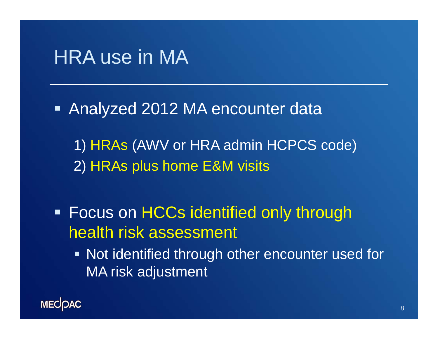## HRA use in MA

Analyzed 2012 MA encounter data

1) HRAs (AWV or HRA admin HCPCS code) 2) HRAs plus home E&M visits

**Focus on HCCs identified only through** health risk assessment

**Not identified through other encounter used for** MA risk adjustment

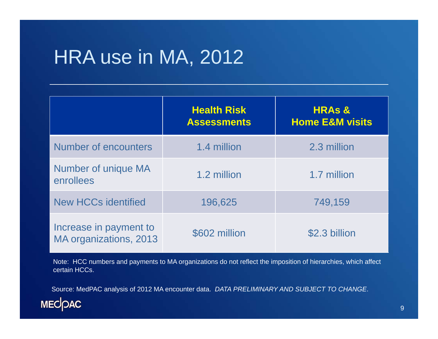# HRA use in MA, 2012

|                                                  | <b>Health Risk</b><br><b>Assessments</b> | <b>HRAS &amp;</b><br><b>Home E&amp;M visits</b> |
|--------------------------------------------------|------------------------------------------|-------------------------------------------------|
| <b>Number of encounters</b>                      | 1.4 million                              | 2.3 million                                     |
| Number of unique MA<br>enrollees                 | 1.2 million                              | 1.7 million                                     |
| <b>New HCCs identified</b>                       | 196,625                                  | 749,159                                         |
| Increase in payment to<br>MA organizations, 2013 | \$602 million                            | \$2.3 billion                                   |

Note: HCC numbers and payments to MA organizations do not reflect the imposition of hierarchies, which affect certain HCCs.

Source: MedPAC analysis of 2012 MA encounter data. *DATA PRELIMINARY AND SUBJECT TO CHANGE*.

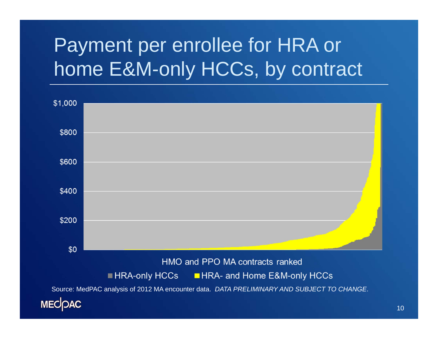# Payment per enrollee for HRA or home E&M-only HCCs, by contract

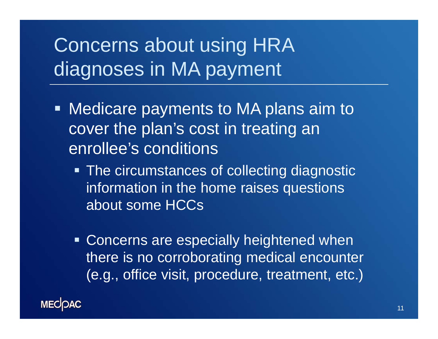# Concerns about using HRA diagnoses in MA payment

- **Medicare payments to MA plans aim to** cover the plan's cost in treating an enrollee's conditions
	- **The circumstances of collecting diagnostic** information in the home raises questions about some HCCs
	- **Concerns are especially heightened when** there is no corroborating medical encounter (e.g., office visit, procedure, treatment, etc.)

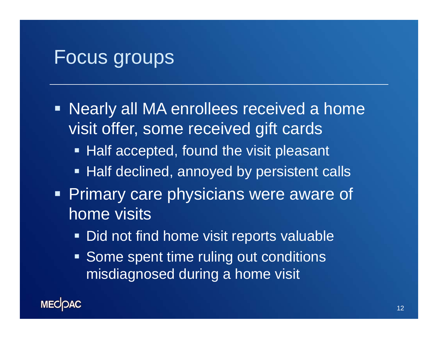## Focus groups

- **Nearly all MA enrollees received a home** visit offer, some received gift cards
	- **Half accepted, found the visit pleasant**
	- **Half declined, annoyed by persistent calls**
- **Primary care physicians were aware of** home visits
	- **Did not find home visit reports valuable**
	- **Some spent time ruling out conditions** misdiagnosed during a home visit

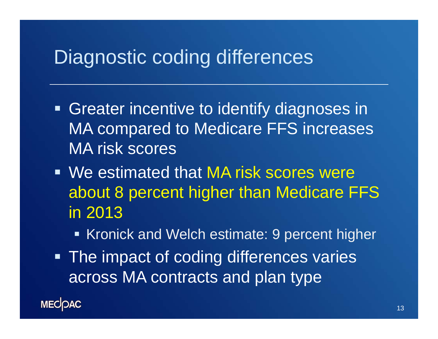## Diagnostic coding differences

- **Greater incentive to identify diagnoses in** MA compared to Medicare FFS increases MA risk scores
- We estimated that MA risk scores were about 8 percent higher than Medicare FFS in 2013
	- Kronick and Welch estimate: 9 percent higher
- **The impact of coding differences varies** across MA contracts and plan type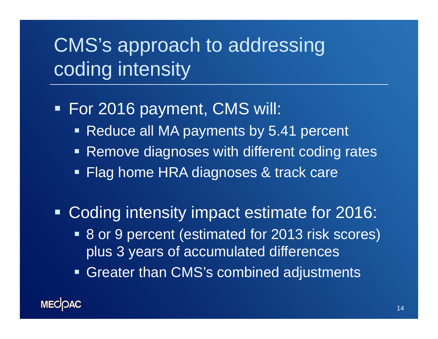# CMS's approach to addressing coding intensity

#### For 2016 payment, CMS will:

- Reduce all MA payments by 5.41 percent
- **Remove diagnoses with different coding rates**
- Flag home HRA diagnoses & track care

Coding intensity impact estimate for 2016:

- 8 or 9 percent (estimated for 2013 risk scores) plus 3 years of accumulated differences
- Greater than CMS's combined adjustments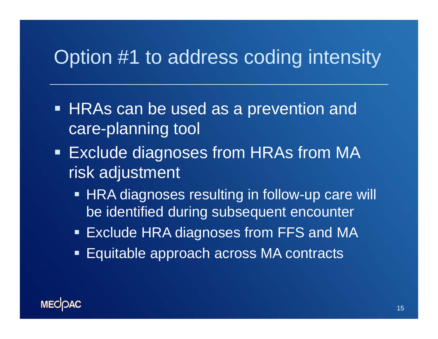# Option #1 to address coding intensity

- HRAs can be used as a prevention and care-planning tool
- **Exclude diagnoses from HRAs from MA** risk adjustment
	- HRA diagnoses resulting in follow-up care will be identified during subsequent encounter
	- Exclude HRA diagnoses from FFS and MA
	- Equitable approach across MA contracts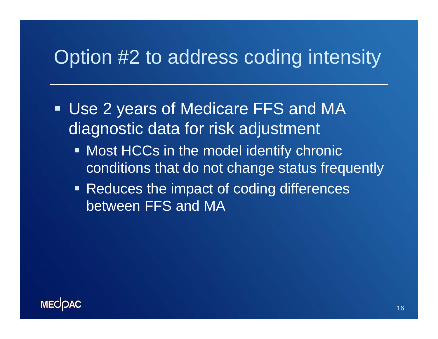## Option #2 to address coding intensity

- Use 2 years of Medicare FFS and MA diagnostic data for risk adjustment
	- **Most HCCs in the model identify chronic** conditions that do not change status frequently
	- Reduces the impact of coding differences between FFS and MA

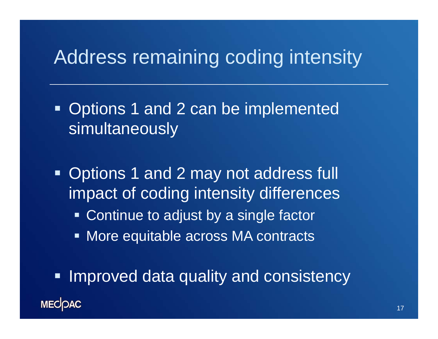## Address remaining coding intensity

- Ξ Options 1 and 2 can be implemented simultaneously
- **Options 1 and 2 may not address full** impact of coding intensity differences
	- **Continue to adjust by a single factor**
	- **More equitable across MA contracts**

**Improved data quality and consistency MECOAC**